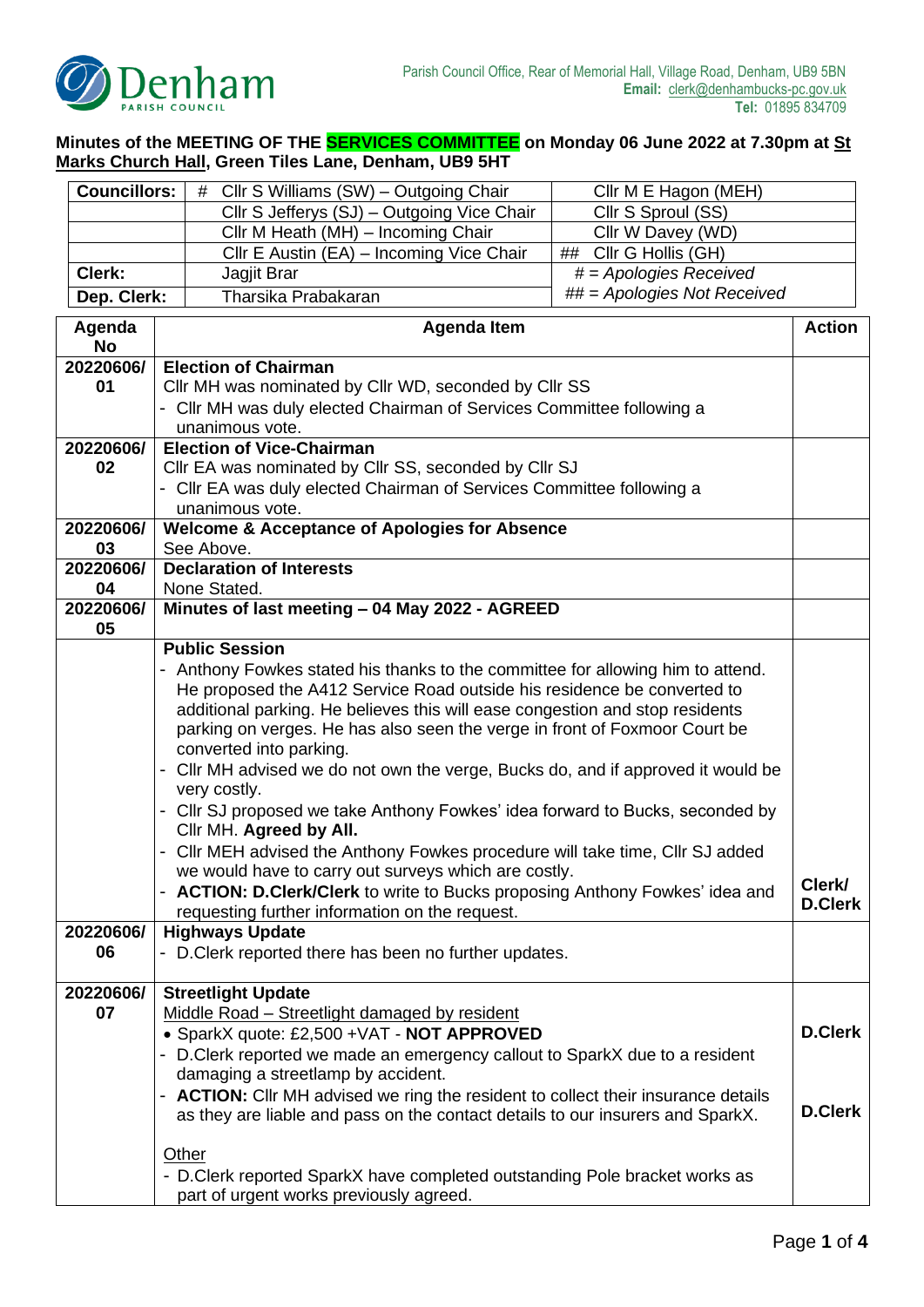

**Minutes of the MEETING OF THE SERVICES COMMITTEE on Monday 06 June 2022 at 7.30pm at St Marks Church Hall, Green Tiles Lane, Denham, UB9 5HT**

| <b>Councillors:</b>                                                         | Cllr S Williams (SW) - Outgoing Chair<br>#                                                               | Cllr M E Hagon (MEH)                 |                          |  |
|-----------------------------------------------------------------------------|----------------------------------------------------------------------------------------------------------|--------------------------------------|--------------------------|--|
|                                                                             | Cllr S Jefferys (SJ) - Outgoing Vice Chair                                                               | Cllr S Sproul (SS)                   |                          |  |
|                                                                             | Cllr M Heath (MH) - Incoming Chair                                                                       | Cllr W Davey (WD)                    |                          |  |
|                                                                             | Cllr E Austin (EA) - Incoming Vice Chair                                                                 | ## Cllr G Hollis (GH)                |                          |  |
| Clerk:                                                                      | Jagjit Brar                                                                                              | $\overline{\#}$ = Apologies Received |                          |  |
| Dep. Clerk:                                                                 | Tharsika Prabakaran                                                                                      | ## = Apologies Not Received          |                          |  |
| Agenda                                                                      | <b>Agenda Item</b>                                                                                       |                                      | <b>Action</b>            |  |
| <b>No</b>                                                                   |                                                                                                          |                                      |                          |  |
| 20220606/                                                                   | <b>Election of Chairman</b>                                                                              |                                      |                          |  |
| 01                                                                          | Cllr MH was nominated by Cllr WD, seconded by Cllr SS                                                    |                                      |                          |  |
|                                                                             | - Cllr MH was duly elected Chairman of Services Committee following a                                    |                                      |                          |  |
|                                                                             | unanimous vote.                                                                                          |                                      |                          |  |
| 20220606/                                                                   | <b>Election of Vice-Chairman</b>                                                                         |                                      |                          |  |
| 02                                                                          | Cllr EA was nominated by Cllr SS, seconded by Cllr SJ                                                    |                                      |                          |  |
|                                                                             | - Cllr EA was duly elected Chairman of Services Committee following a                                    |                                      |                          |  |
| 20220606/                                                                   | unanimous vote.<br><b>Welcome &amp; Acceptance of Apologies for Absence</b>                              |                                      |                          |  |
| 03                                                                          | See Above.                                                                                               |                                      |                          |  |
| 20220606/                                                                   | <b>Declaration of Interests</b>                                                                          |                                      |                          |  |
| 04                                                                          | None Stated.                                                                                             |                                      |                          |  |
| 20220606/                                                                   | Minutes of last meeting - 04 May 2022 - AGREED                                                           |                                      |                          |  |
| 05                                                                          |                                                                                                          |                                      |                          |  |
|                                                                             | <b>Public Session</b>                                                                                    |                                      |                          |  |
|                                                                             | - Anthony Fowkes stated his thanks to the committee for allowing him to attend.                          |                                      |                          |  |
|                                                                             | He proposed the A412 Service Road outside his residence be converted to                                  |                                      |                          |  |
|                                                                             | additional parking. He believes this will ease congestion and stop residents                             |                                      |                          |  |
|                                                                             | parking on verges. He has also seen the verge in front of Foxmoor Court be                               |                                      |                          |  |
|                                                                             | converted into parking.                                                                                  |                                      |                          |  |
|                                                                             | - Cllr MH advised we do not own the verge, Bucks do, and if approved it would be<br>very costly.         |                                      |                          |  |
|                                                                             |                                                                                                          |                                      |                          |  |
|                                                                             | - Cllr SJ proposed we take Anthony Fowkes' idea forward to Bucks, seconded by<br>Cllr MH. Agreed by All. |                                      |                          |  |
|                                                                             | - Cllr MEH advised the Anthony Fowkes procedure will take time, Cllr SJ added                            |                                      |                          |  |
|                                                                             | we would have to carry out surveys which are costly.                                                     |                                      |                          |  |
|                                                                             | - ACTION: D.Clerk/Clerk to write to Bucks proposing Anthony Fowkes' idea and                             |                                      | Clerk/<br><b>D.Clerk</b> |  |
|                                                                             | requesting further information on the request.                                                           |                                      |                          |  |
| 20220606/                                                                   | <b>Highways Update</b>                                                                                   |                                      |                          |  |
| 06                                                                          | - D. Clerk reported there has been no further updates.                                                   |                                      |                          |  |
|                                                                             |                                                                                                          |                                      |                          |  |
| 20220606/<br>07                                                             | <b>Streetlight Update</b><br>Middle Road - Streetlight damaged by resident                               |                                      |                          |  |
|                                                                             | • SparkX quote: £2,500 +VAT - NOT APPROVED                                                               |                                      | <b>D.Clerk</b>           |  |
|                                                                             | - D. Clerk reported we made an emergency callout to SparkX due to a resident                             |                                      |                          |  |
|                                                                             | damaging a streetlamp by accident.                                                                       |                                      |                          |  |
|                                                                             | - ACTION: Cllr MH advised we ring the resident to collect their insurance details                        |                                      |                          |  |
|                                                                             | <b>D.Clerk</b><br>as they are liable and pass on the contact details to our insurers and SparkX.         |                                      |                          |  |
|                                                                             |                                                                                                          |                                      |                          |  |
|                                                                             | <b>Other</b>                                                                                             |                                      |                          |  |
| - D. Clerk reported SparkX have completed outstanding Pole bracket works as |                                                                                                          |                                      |                          |  |
|                                                                             | part of urgent works previously agreed.                                                                  |                                      |                          |  |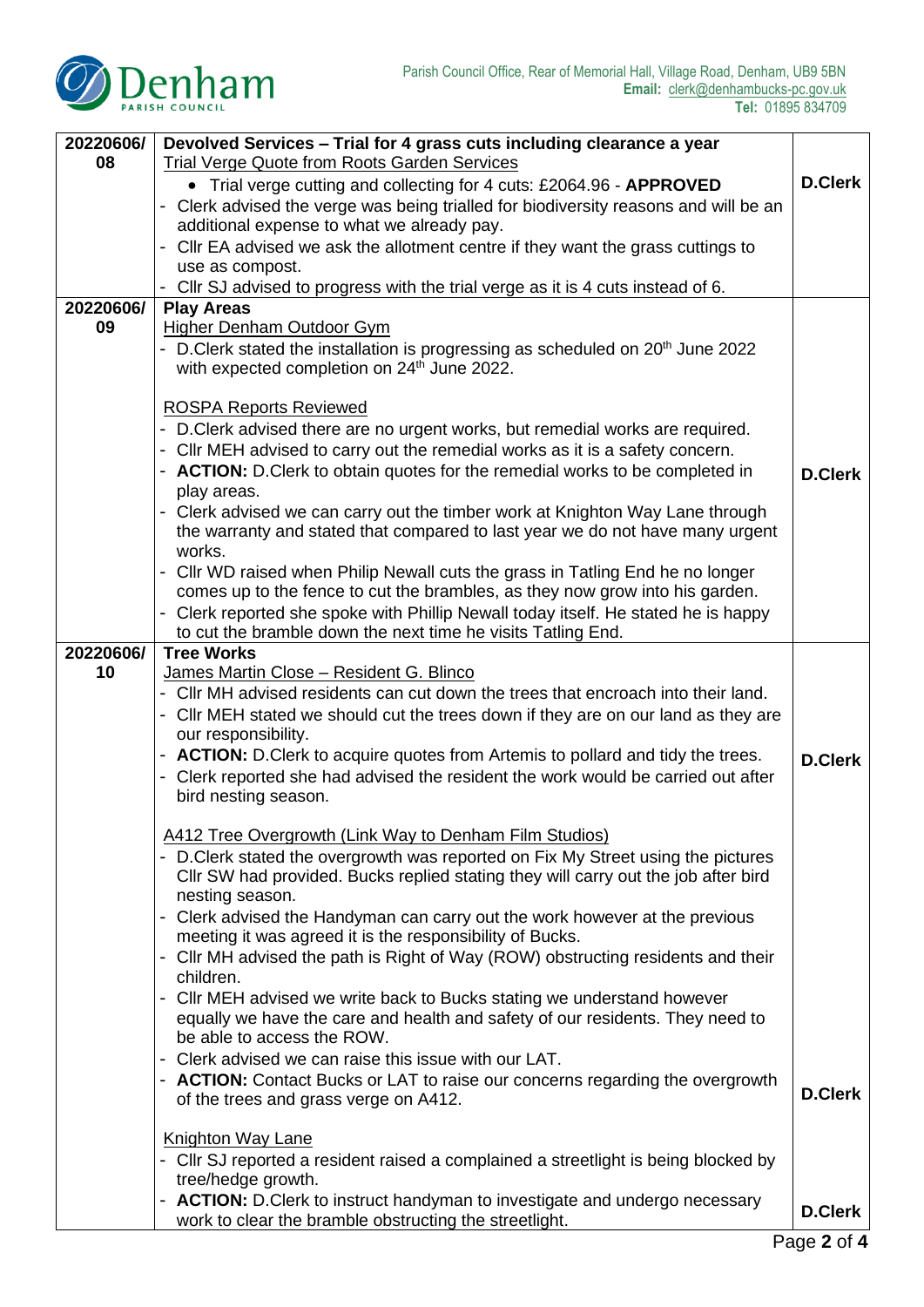

| 20220606/ | Devolved Services - Trial for 4 grass cuts including clearance a year                                                          |                |
|-----------|--------------------------------------------------------------------------------------------------------------------------------|----------------|
| 08        | <b>Trial Verge Quote from Roots Garden Services</b>                                                                            |                |
|           | • Trial verge cutting and collecting for 4 cuts: £2064.96 - APPROVED                                                           | <b>D.Clerk</b> |
|           | - Clerk advised the verge was being trialled for biodiversity reasons and will be an                                           |                |
|           | additional expense to what we already pay.<br>- Cllr EA advised we ask the allotment centre if they want the grass cuttings to |                |
|           | use as compost.                                                                                                                |                |
|           | - Cllr SJ advised to progress with the trial verge as it is 4 cuts instead of 6.                                               |                |
| 20220606/ | <b>Play Areas</b>                                                                                                              |                |
| 09        | <b>Higher Denham Outdoor Gym</b>                                                                                               |                |
|           | - D.Clerk stated the installation is progressing as scheduled on 20 <sup>th</sup> June 2022                                    |                |
|           | with expected completion on 24 <sup>th</sup> June 2022.                                                                        |                |
|           | <b>ROSPA Reports Reviewed</b>                                                                                                  |                |
|           | - D. Clerk advised there are no urgent works, but remedial works are required.                                                 |                |
|           | - Cllr MEH advised to carry out the remedial works as it is a safety concern.                                                  |                |
|           | - ACTION: D.Clerk to obtain quotes for the remedial works to be completed in                                                   | <b>D.Clerk</b> |
|           | play areas.                                                                                                                    |                |
|           | - Clerk advised we can carry out the timber work at Knighton Way Lane through                                                  |                |
|           | the warranty and stated that compared to last year we do not have many urgent<br>works.                                        |                |
|           | - Cllr WD raised when Philip Newall cuts the grass in Tatling End he no longer                                                 |                |
|           | comes up to the fence to cut the brambles, as they now grow into his garden.                                                   |                |
|           | - Clerk reported she spoke with Phillip Newall today itself. He stated he is happy                                             |                |
|           | to cut the bramble down the next time he visits Tatling End.                                                                   |                |
| 20220606/ | <b>Tree Works</b>                                                                                                              |                |
| 10        | James Martin Close - Resident G. Blinco<br>- Cllr MH advised residents can cut down the trees that encroach into their land.   |                |
|           | - Cllr MEH stated we should cut the trees down if they are on our land as they are                                             |                |
|           | our responsibility.                                                                                                            |                |
|           | - <b>ACTION:</b> D.Clerk to acquire quotes from Artemis to pollard and tidy the trees.                                         | <b>D.Clerk</b> |
|           | Clerk reported she had advised the resident the work would be carried out after                                                |                |
|           | bird nesting season.                                                                                                           |                |
|           | A412 Tree Overgrowth (Link Way to Denham Film Studios)                                                                         |                |
|           | - D. Clerk stated the overgrowth was reported on Fix My Street using the pictures                                              |                |
|           | CIIr SW had provided. Bucks replied stating they will carry out the job after bird                                             |                |
|           | nesting season.                                                                                                                |                |
|           | - Clerk advised the Handyman can carry out the work however at the previous                                                    |                |
|           | meeting it was agreed it is the responsibility of Bucks.                                                                       |                |
|           | - Cllr MH advised the path is Right of Way (ROW) obstructing residents and their<br>children.                                  |                |
|           | - Cllr MEH advised we write back to Bucks stating we understand however                                                        |                |
|           | equally we have the care and health and safety of our residents. They need to                                                  |                |
|           | be able to access the ROW.                                                                                                     |                |
|           | - Clerk advised we can raise this issue with our LAT.                                                                          |                |
|           | - <b>ACTION:</b> Contact Bucks or LAT to raise our concerns regarding the overgrowth                                           | <b>D.Clerk</b> |
|           | of the trees and grass verge on A412.                                                                                          |                |
|           | <b>Knighton Way Lane</b>                                                                                                       |                |
|           | - Cllr SJ reported a resident raised a complained a streetlight is being blocked by                                            |                |
|           | tree/hedge growth.                                                                                                             |                |
|           | - ACTION: D.Clerk to instruct handyman to investigate and undergo necessary                                                    | <b>D.Clerk</b> |
|           | work to clear the bramble obstructing the streetlight.                                                                         |                |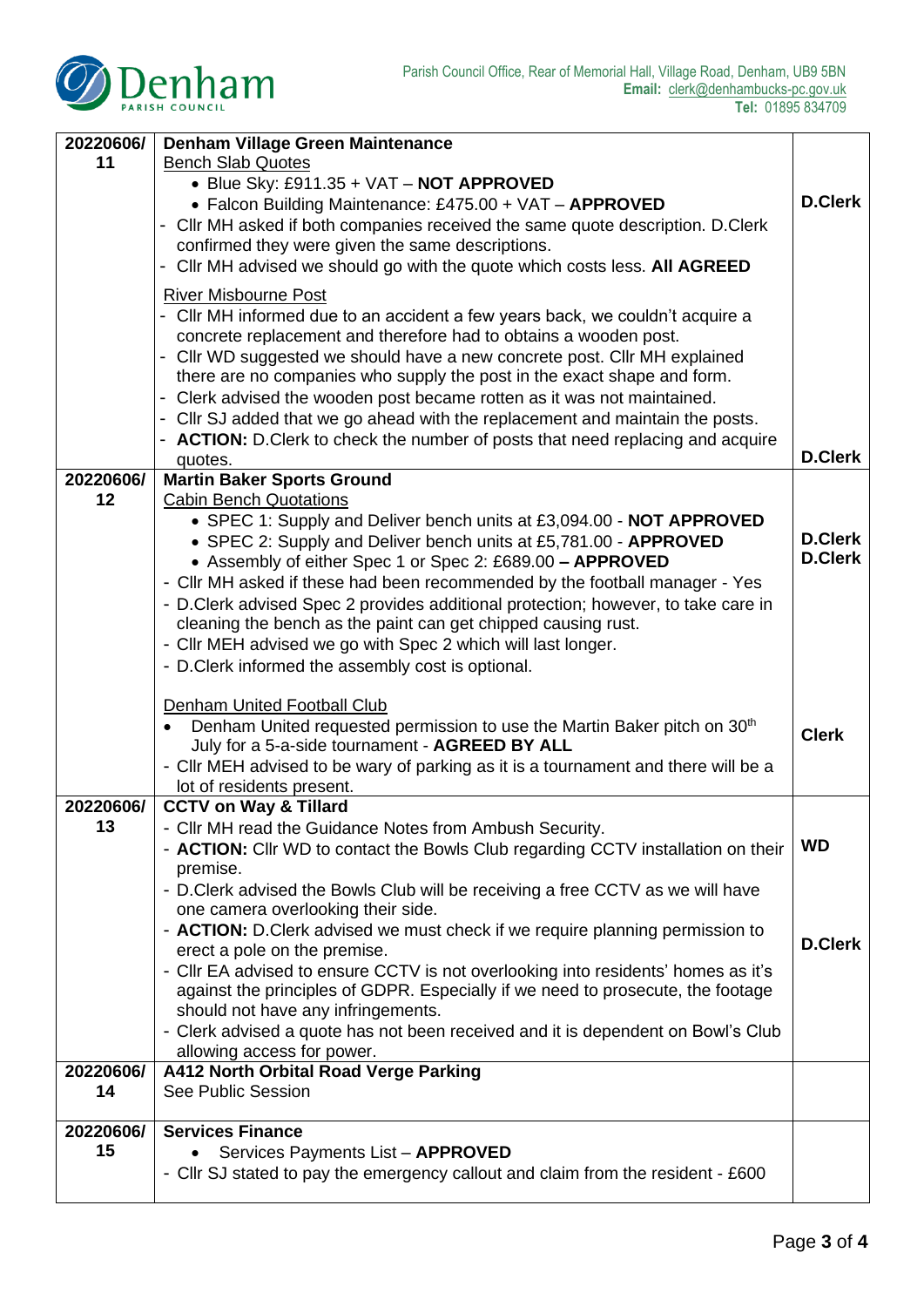| 20220606/ | <b>Denham Village Green Maintenance</b>                                                                                                              |                |  |
|-----------|------------------------------------------------------------------------------------------------------------------------------------------------------|----------------|--|
| 11        | <b>Bench Slab Quotes</b>                                                                                                                             |                |  |
|           | • Blue Sky: £911.35 + VAT - NOT APPROVED                                                                                                             | <b>D.Clerk</b> |  |
|           | • Falcon Building Maintenance: £475.00 + VAT - APPROVED                                                                                              |                |  |
|           | - Cllr MH asked if both companies received the same quote description. D.Clerk<br>confirmed they were given the same descriptions.                   |                |  |
|           | - Cllr MH advised we should go with the quote which costs less. All AGREED                                                                           |                |  |
|           | <b>River Misbourne Post</b>                                                                                                                          |                |  |
|           | - Cllr MH informed due to an accident a few years back, we couldn't acquire a<br>concrete replacement and therefore had to obtains a wooden post.    |                |  |
|           | - Cllr WD suggested we should have a new concrete post. Cllr MH explained<br>there are no companies who supply the post in the exact shape and form. |                |  |
|           | - Clerk advised the wooden post became rotten as it was not maintained.                                                                              |                |  |
|           | - Cllr SJ added that we go ahead with the replacement and maintain the posts.                                                                        |                |  |
|           | - ACTION: D.Clerk to check the number of posts that need replacing and acquire                                                                       |                |  |
|           | quotes.                                                                                                                                              | <b>D.Clerk</b> |  |
| 20220606/ | <b>Martin Baker Sports Ground</b>                                                                                                                    |                |  |
| 12        | <b>Cabin Bench Quotations</b><br>• SPEC 1: Supply and Deliver bench units at £3,094.00 - NOT APPROVED                                                |                |  |
|           | • SPEC 2: Supply and Deliver bench units at £5,781.00 - APPROVED                                                                                     | <b>D.Clerk</b> |  |
|           | • Assembly of either Spec 1 or Spec 2: £689.00 - APPROVED                                                                                            |                |  |
|           | - Cllr MH asked if these had been recommended by the football manager - Yes                                                                          |                |  |
|           | - D. Clerk advised Spec 2 provides additional protection; however, to take care in                                                                   |                |  |
|           | cleaning the bench as the paint can get chipped causing rust.                                                                                        |                |  |
|           | - Cllr MEH advised we go with Spec 2 which will last longer.                                                                                         |                |  |
|           | - D.Clerk informed the assembly cost is optional.                                                                                                    |                |  |
|           | Denham United Football Club                                                                                                                          |                |  |
|           | Denham United requested permission to use the Martin Baker pitch on 30 <sup>th</sup><br>$\bullet$                                                    |                |  |
|           | July for a 5-a-side tournament - AGREED BY ALL                                                                                                       | <b>Clerk</b>   |  |
|           | - Cllr MEH advised to be wary of parking as it is a tournament and there will be a                                                                   |                |  |
|           | lot of residents present.                                                                                                                            |                |  |
| 20220606/ | <b>CCTV on Way &amp; Tillard</b>                                                                                                                     |                |  |
| 13        | - Cllr MH read the Guidance Notes from Ambush Security.<br>- <b>ACTION:</b> Cllr WD to contact the Bowls Club regarding CCTV installation on their   | <b>WD</b>      |  |
|           | premise.                                                                                                                                             |                |  |
|           | - D. Clerk advised the Bowls Club will be receiving a free CCTV as we will have                                                                      |                |  |
|           | one camera overlooking their side.                                                                                                                   |                |  |
|           | - <b>ACTION:</b> D.Clerk advised we must check if we require planning permission to                                                                  | <b>D.Clerk</b> |  |
|           | erect a pole on the premise.                                                                                                                         |                |  |
|           | - Cllr EA advised to ensure CCTV is not overlooking into residents' homes as it's                                                                    |                |  |
|           | against the principles of GDPR. Especially if we need to prosecute, the footage<br>should not have any infringements.                                |                |  |
|           | - Clerk advised a quote has not been received and it is dependent on Bowl's Club                                                                     |                |  |
|           | allowing access for power.                                                                                                                           |                |  |
| 20220606/ | A412 North Orbital Road Verge Parking                                                                                                                |                |  |
| 14        | See Public Session                                                                                                                                   |                |  |
| 20220606/ | <b>Services Finance</b>                                                                                                                              |                |  |
| 15        | Services Payments List - APPROVED                                                                                                                    |                |  |
|           | - Cllr SJ stated to pay the emergency callout and claim from the resident - £600                                                                     |                |  |
|           |                                                                                                                                                      |                |  |